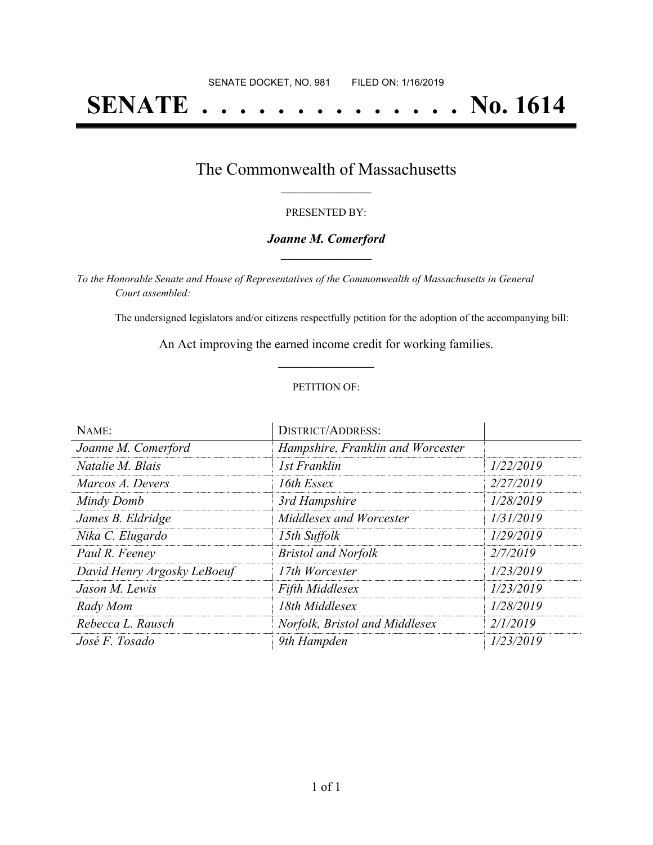# **SENATE . . . . . . . . . . . . . . No. 1614**

### The Commonwealth of Massachusetts **\_\_\_\_\_\_\_\_\_\_\_\_\_\_\_\_\_**

#### PRESENTED BY:

#### *Joanne M. Comerford* **\_\_\_\_\_\_\_\_\_\_\_\_\_\_\_\_\_**

*To the Honorable Senate and House of Representatives of the Commonwealth of Massachusetts in General Court assembled:*

The undersigned legislators and/or citizens respectfully petition for the adoption of the accompanying bill:

An Act improving the earned income credit for working families. **\_\_\_\_\_\_\_\_\_\_\_\_\_\_\_**

#### PETITION OF:

| NAME:                       | <b>DISTRICT/ADDRESS:</b>          |           |
|-----------------------------|-----------------------------------|-----------|
| Joanne M. Comerford         | Hampshire, Franklin and Worcester |           |
| Natalie M. Blais            | 1st Franklin                      | 1/22/2019 |
| Marcos A. Devers            | 16th Essex                        | 2/27/2019 |
| Mindy Domb                  | 3rd Hampshire                     | 1/28/2019 |
| James B. Eldridge           | Middlesex and Worcester           | 1/31/2019 |
| Nika C. Elugardo            | 15th Suffolk                      | 1/29/2019 |
| Paul R. Feeney              | <b>Bristol and Norfolk</b>        | 2/7/2019  |
| David Henry Argosky LeBoeuf | 17th Worcester                    | 1/23/2019 |
| Jason M. Lewis              | <b>Fifth Middlesex</b>            | 1/23/2019 |
| Rady Mom                    | 18th Middlesex                    | 1/28/2019 |
| Rebecca L. Rausch           | Norfolk, Bristol and Middlesex    | 2/1/2019  |
| José F. Tosado              | 9th Hampden                       | 1/23/2019 |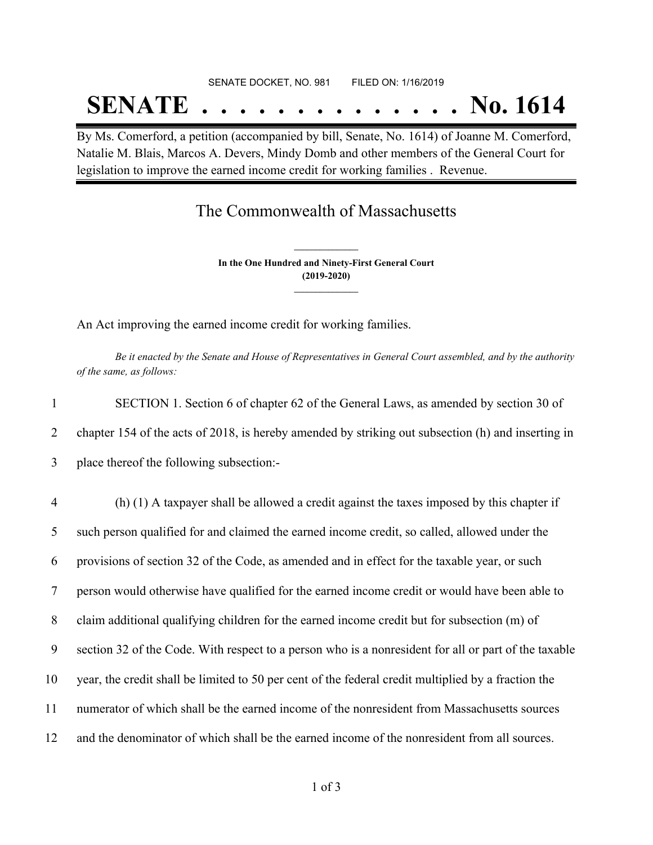# SENATE DOCKET, NO. 981 FILED ON: 1/16/2019 **SENATE . . . . . . . . . . . . . . No. 1614**

By Ms. Comerford, a petition (accompanied by bill, Senate, No. 1614) of Joanne M. Comerford, Natalie M. Blais, Marcos A. Devers, Mindy Domb and other members of the General Court for legislation to improve the earned income credit for working families . Revenue.

## The Commonwealth of Massachusetts

**In the One Hundred and Ninety-First General Court (2019-2020) \_\_\_\_\_\_\_\_\_\_\_\_\_\_\_**

**\_\_\_\_\_\_\_\_\_\_\_\_\_\_\_**

An Act improving the earned income credit for working families.

Be it enacted by the Senate and House of Representatives in General Court assembled, and by the authority *of the same, as follows:*

| SECTION 1. Section 6 of chapter 62 of the General Laws, as amended by section 30 of                |
|----------------------------------------------------------------------------------------------------|
| chapter 154 of the acts of 2018, is hereby amended by striking out subsection (h) and inserting in |
| place thereof the following subsection:-                                                           |

 (h) (1) A taxpayer shall be allowed a credit against the taxes imposed by this chapter if such person qualified for and claimed the earned income credit, so called, allowed under the provisions of section 32 of the Code, as amended and in effect for the taxable year, or such person would otherwise have qualified for the earned income credit or would have been able to claim additional qualifying children for the earned income credit but for subsection (m) of section 32 of the Code. With respect to a person who is a nonresident for all or part of the taxable year, the credit shall be limited to 50 per cent of the federal credit multiplied by a fraction the numerator of which shall be the earned income of the nonresident from Massachusetts sources and the denominator of which shall be the earned income of the nonresident from all sources.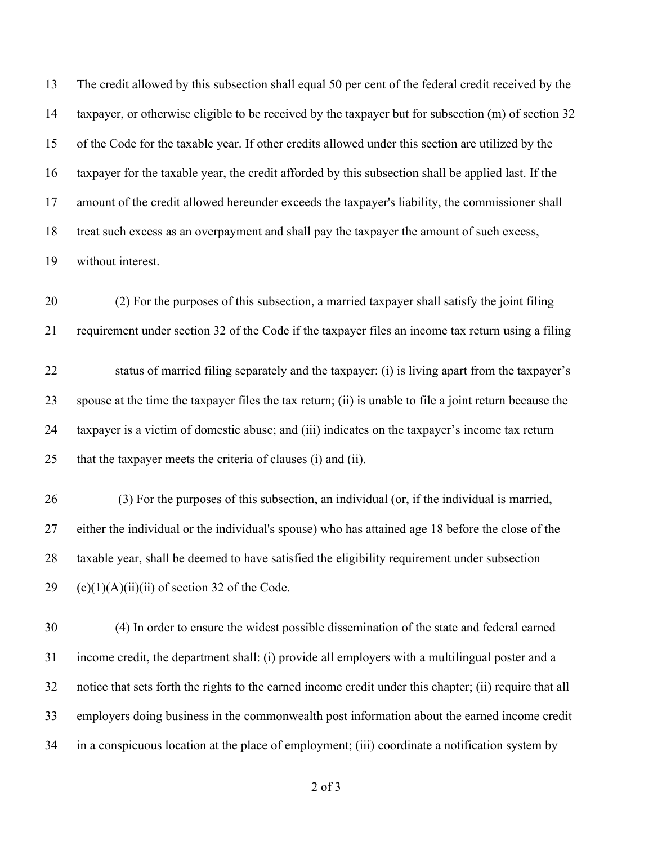The credit allowed by this subsection shall equal 50 per cent of the federal credit received by the taxpayer, or otherwise eligible to be received by the taxpayer but for subsection (m) of section 32 of the Code for the taxable year. If other credits allowed under this section are utilized by the taxpayer for the taxable year, the credit afforded by this subsection shall be applied last. If the amount of the credit allowed hereunder exceeds the taxpayer's liability, the commissioner shall treat such excess as an overpayment and shall pay the taxpayer the amount of such excess, without interest.

 (2) For the purposes of this subsection, a married taxpayer shall satisfy the joint filing requirement under section 32 of the Code if the taxpayer files an income tax return using a filing

 status of married filing separately and the taxpayer: (i) is living apart from the taxpayer's spouse at the time the taxpayer files the tax return; (ii) is unable to file a joint return because the taxpayer is a victim of domestic abuse; and (iii) indicates on the taxpayer's income tax return that the taxpayer meets the criteria of clauses (i) and (ii).

 (3) For the purposes of this subsection, an individual (or, if the individual is married, either the individual or the individual's spouse) who has attained age 18 before the close of the taxable year, shall be deemed to have satisfied the eligibility requirement under subsection 29 (c)(1)(A)(ii)(ii) of section 32 of the Code.

 (4) In order to ensure the widest possible dissemination of the state and federal earned income credit, the department shall: (i) provide all employers with a multilingual poster and a notice that sets forth the rights to the earned income credit under this chapter; (ii) require that all employers doing business in the commonwealth post information about the earned income credit in a conspicuous location at the place of employment; (iii) coordinate a notification system by

of 3